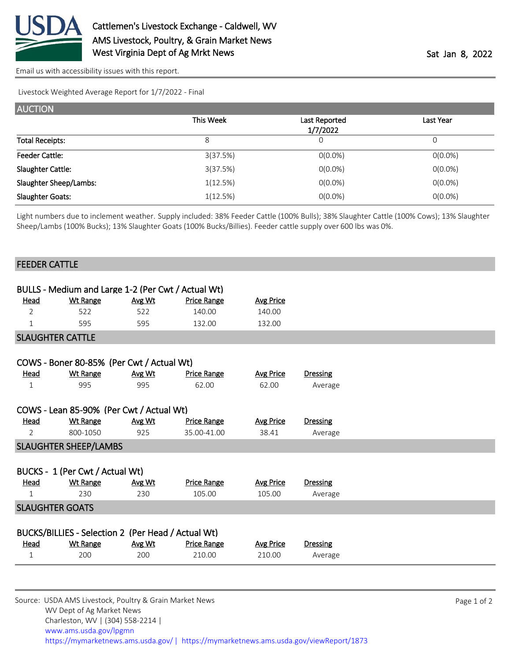

[Email us with accessibility issues with this report.](mailto:mars@ams.usda.gov?subject=508%20issue)

Livestock Weighted Average Report for 1/7/2022 - Final

| <b>AUCTION</b>         |           |                           |            |
|------------------------|-----------|---------------------------|------------|
|                        | This Week | Last Reported<br>1/7/2022 | Last Year  |
| <b>Total Receipts:</b> | 8         | 0                         | 0          |
| <b>Feeder Cattle:</b>  | 3(37.5%)  | $O(0.0\%)$                | $0(0.0\%)$ |
| Slaughter Cattle:      | 3(37.5%)  | $0(0.0\%)$                | $0(0.0\%)$ |
| Slaughter Sheep/Lambs: | 1(12.5%)  | $0(0.0\%)$                | $0(0.0\%)$ |
| Slaughter Goats:       | 1(12.5%)  | $0(0.0\%)$                | $0(0.0\%)$ |

Light numbers due to inclement weather. Supply included: 38% Feeder Cattle (100% Bulls); 38% Slaughter Cattle (100% Cows); 13% Slaughter Sheep/Lambs (100% Bucks); 13% Slaughter Goats (100% Bucks/Billies). Feeder cattle supply over 600 lbs was 0%.

|                              | <b>FEEDER CATTLE</b>                               |        |                    |                  |                 |  |
|------------------------------|----------------------------------------------------|--------|--------------------|------------------|-----------------|--|
|                              |                                                    |        |                    |                  |                 |  |
|                              | BULLS - Medium and Large 1-2 (Per Cwt / Actual Wt) |        |                    |                  |                 |  |
| <u>Head</u>                  | <b>Wt Range</b>                                    | Avg Wt | <b>Price Range</b> | <b>Avg Price</b> |                 |  |
| $\overline{2}$               | 522                                                | 522    | 140.00             | 140.00           |                 |  |
| 1                            | 595                                                | 595    | 132.00             | 132.00           |                 |  |
|                              | <b>SLAUGHTER CATTLE</b>                            |        |                    |                  |                 |  |
|                              |                                                    |        |                    |                  |                 |  |
|                              | COWS - Boner 80-85% (Per Cwt / Actual Wt)          |        |                    |                  |                 |  |
| Head                         | <b>Wt Range</b>                                    | Avg Wt | <b>Price Range</b> | <b>Avg Price</b> | Dressing        |  |
| $\mathbf{1}$                 | 995                                                | 995    | 62.00              | 62.00            | Average         |  |
|                              |                                                    |        |                    |                  |                 |  |
|                              | COWS - Lean 85-90% (Per Cwt / Actual Wt)           |        |                    |                  |                 |  |
| <u>Head</u>                  | <b>Wt Range</b>                                    | Avg Wt | <b>Price Range</b> | <b>Avg Price</b> | <b>Dressing</b> |  |
| $\overline{2}$               | 800-1050                                           | 925    | 35.00-41.00        | 38.41            | Average         |  |
| <b>SLAUGHTER SHEEP/LAMBS</b> |                                                    |        |                    |                  |                 |  |
|                              |                                                    |        |                    |                  |                 |  |
|                              | BUCKS - 1 (Per Cwt / Actual Wt)                    |        |                    |                  |                 |  |
| <b>Head</b>                  | <b>Wt Range</b>                                    | Avg Wt | <b>Price Range</b> | <b>Avg Price</b> | <b>Dressing</b> |  |
| $\mathbf 1$                  | 230                                                | 230    | 105.00             | 105.00           | Average         |  |
|                              | <b>SLAUGHTER GOATS</b>                             |        |                    |                  |                 |  |
|                              |                                                    |        |                    |                  |                 |  |
|                              | BUCKS/BILLIES - Selection 2 (Per Head / Actual Wt) |        |                    |                  |                 |  |
| Head                         | <b>Wt Range</b>                                    | Avg Wt | <b>Price Range</b> | <b>Avg Price</b> | <b>Dressing</b> |  |
| $\mathbf{1}$                 | 200                                                | 200    | 210.00             | 210.00           | Average         |  |
|                              |                                                    |        |                    |                  |                 |  |
|                              |                                                    |        |                    |                  |                 |  |

Source: USDA AMS Livestock, Poultry & Grain Market News WV Dept of Ag Market News Charleston, WV | (304) 558-2214 | [www.ams.usda.gov/lpgmn](https://www.ams.usda.gov/market-news) <https://mymarketnews.ams.usda.gov/> [|](https://www.ams.usda.gov/market-news) <https://mymarketnews.ams.usda.gov/viewReport/1873>